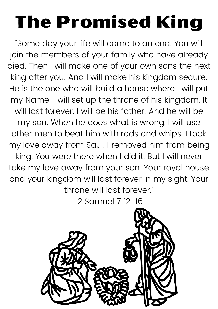## The Promised King

"Some day your life will come to an end. You will join the members of your family who have already died. Then I will make one of your own sons the next king after you. And I will make his kingdom secure. He is the one who will build a house where I will put my Name. I will set up the throne of his kingdom. It will last forever. I will be his father. And he will be my son. When he does what is wrong, I will use other men to beat him with rods and whips. I took my love away from Saul. I removed him from being king. You were there when I did it. But I will never take my love away from your son. Your royal house and your kingdom will last forever in my sight. Your throne will last forever."

2 Samuel 7:12-16

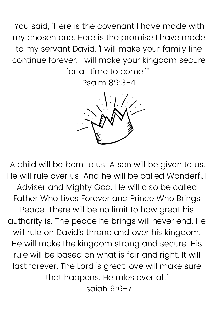'You said, "Here is the covenant I have made with my chosen one. Here is the promise I have made to my servant David. 'I will make your family line continue forever. I will make your kingdom secure for all time to come.'"

Psalm 89:3-4



'A child will be born to us. A son will be given to us. He will rule over us. And he will be called Wonderful Adviser and Mighty God. He will also be called Father Who Lives Forever and Prince Who Brings Peace. There will be no limit to how great his authority is. The peace he brings will never end. He will rule on David's throne and over his kingdom. He will make the kingdom strong and secure. His rule will be based on what is fair and right. It will last forever. The Lord 's great love will make sure that happens. He rules over all.' Isaiah 9:6-7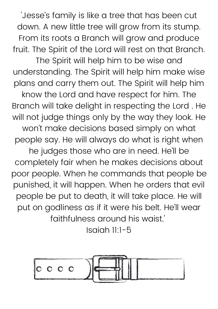'Jesse's family is like a tree that has been cut down. A new little tree will grow from its stump. From its roots a Branch will grow and produce fruit. The Spirit of the Lord will rest on that Branch.

The Spirit will help him to be wise and understanding. The Spirit will help him make wise plans and carry them out. The Spirit will help him know the Lord and have respect for him. The Branch will take delight in respecting the Lord . He will not judge things only by the way they look. He won't make decisions based simply on what people say. He will always do what is right when he judges those who are in need. He'll be completely fair when he makes decisions about poor people. When he commands that people be punished, it will happen. When he orders that evil people be put to death, it will take place. He will put on godliness as if it were his belt. He'll wear faithfulness around his waist.'

Isaiah 11:1-5